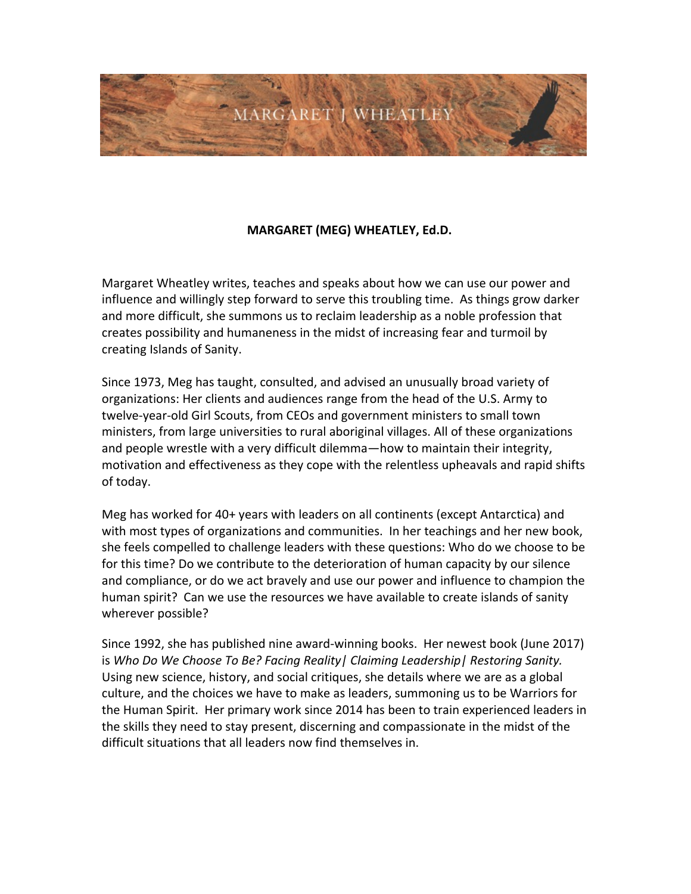

## **MARGARET (MEG) WHEATLEY, Ed.D.**

Margaret Wheatley writes, teaches and speaks about how we can use our power and influence and willingly step forward to serve this troubling time. As things grow darker and more difficult, she summons us to reclaim leadership as a noble profession that creates possibility and humaneness in the midst of increasing fear and turmoil by creating Islands of Sanity.

Since 1973, Meg has taught, consulted, and advised an unusually broad variety of organizations: Her clients and audiences range from the head of the U.S. Army to twelve-year-old Girl Scouts, from CEOs and government ministers to small town ministers, from large universities to rural aboriginal villages. All of these organizations and people wrestle with a very difficult dilemma—how to maintain their integrity, motivation and effectiveness as they cope with the relentless upheavals and rapid shifts of today.

Meg has worked for 40+ years with leaders on all continents (except Antarctica) and with most types of organizations and communities. In her teachings and her new book, she feels compelled to challenge leaders with these questions: Who do we choose to be for this time? Do we contribute to the deterioration of human capacity by our silence and compliance, or do we act bravely and use our power and influence to champion the human spirit? Can we use the resources we have available to create islands of sanity wherever possible?

Since 1992, she has published nine award-winning books. Her newest book (June 2017) is Who Do We Choose To Be? Facing Reality | Claiming Leadership | Restoring Sanity. Using new science, history, and social critiques, she details where we are as a global culture, and the choices we have to make as leaders, summoning us to be Warriors for the Human Spirit. Her primary work since 2014 has been to train experienced leaders in the skills they need to stay present, discerning and compassionate in the midst of the difficult situations that all leaders now find themselves in.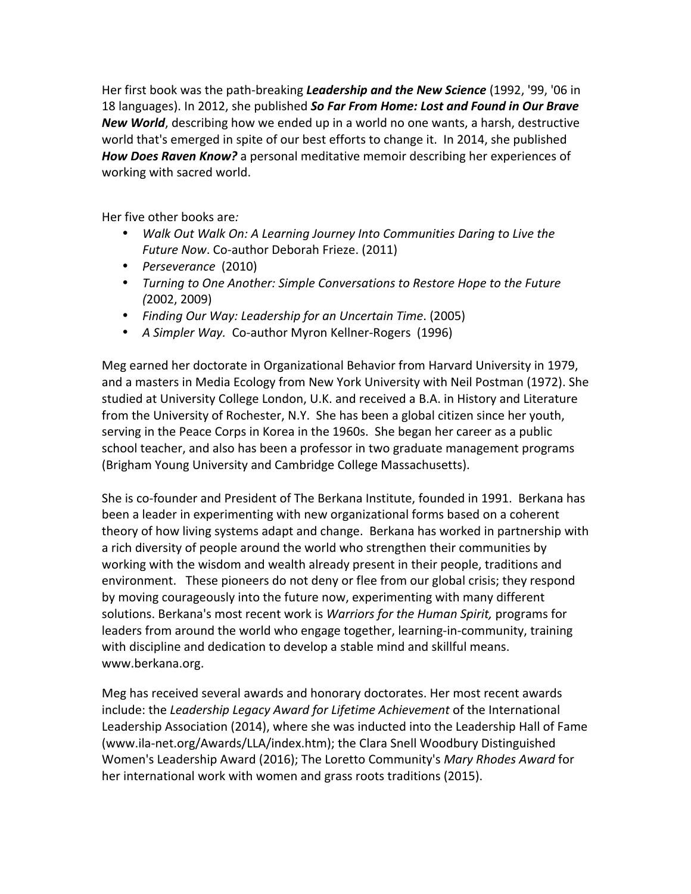Her first book was the path-breaking Leadership and the New Science (1992, '99, '06 in 18 languages). In 2012, she published So Far From Home: Lost and Found in Our Brave New World, describing how we ended up in a world no one wants, a harsh, destructive world that's emerged in spite of our best efforts to change it. In 2014, she published How Does Raven Know? a personal meditative memoir describing her experiences of working with sacred world.

Her five other books are:

- Walk Out Walk On: A Learning Journey Into Communities Daring to Live the Future Now. Co-author Deborah Frieze. (2011)
- Perseverance (2010)
- Turning to One Another: Simple Conversations to Restore Hope to the Future  $(2002, 2009)$
- Finding Our Way: Leadership for an Uncertain Time. (2005)
- A Simpler Way. Co-author Myron Kellner-Rogers (1996)

Meg earned her doctorate in Organizational Behavior from Harvard University in 1979, and a masters in Media Ecology from New York University with Neil Postman (1972). She studied at University College London, U.K. and received a B.A. in History and Literature from the University of Rochester, N.Y. She has been a global citizen since her youth, serving in the Peace Corps in Korea in the 1960s. She began her career as a public school teacher, and also has been a professor in two graduate management programs (Brigham Young University and Cambridge College Massachusetts).

She is co-founder and President of The Berkana Institute, founded in 1991. Berkana has been a leader in experimenting with new organizational forms based on a coherent theory of how living systems adapt and change. Berkana has worked in partnership with a rich diversity of people around the world who strengthen their communities by working with the wisdom and wealth already present in their people, traditions and environment. These pioneers do not deny or flee from our global crisis; they respond by moving courageously into the future now, experimenting with many different solutions. Berkana's most recent work is Warriors for the Human Spirit, programs for leaders from around the world who engage together, learning-in-community, training with discipline and dedication to develop a stable mind and skillful means. www.berkana.org.

Meg has received several awards and honorary doctorates. Her most recent awards include: the Leadership Legacy Award for Lifetime Achievement of the International Leadership Association (2014), where she was inducted into the Leadership Hall of Fame (www.ila-net.org/Awards/LLA/index.htm); the Clara Snell Woodbury Distinguished Women's Leadership Award (2016); The Loretto Community's Mary Rhodes Award for her international work with women and grass roots traditions (2015).